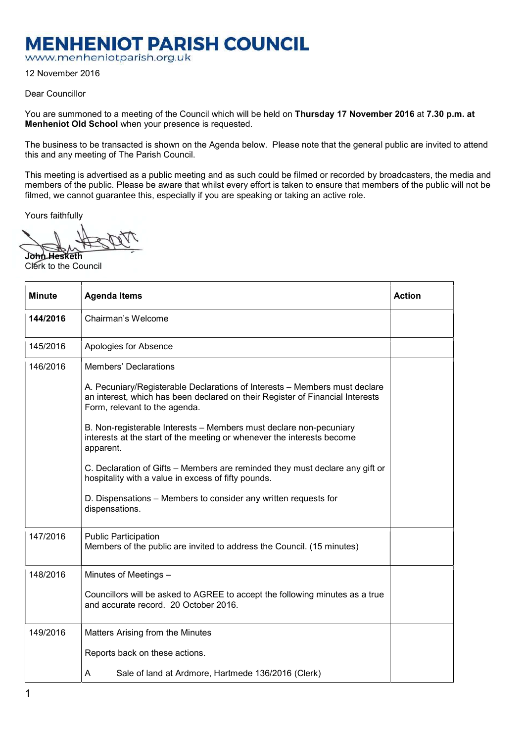## **MENHENIOT PARISH COUNCIL**

www.menheniotparish.org.uk

12 November 2016

Dear Councillor

You are summoned to a meeting of the Council which will be held on Thursday 17 November 2016 at 7.30 p.m. at Menheniot Old School when your presence is requested.

The business to be transacted is shown on the Agenda below. Please note that the general public are invited to attend this and any meeting of The Parish Council.

This meeting is advertised as a public meeting and as such could be filmed or recorded by broadcasters, the media and members of the public. Please be aware that whilst every effort is taken to ensure that members of the public will not be filmed, we cannot guarantee this, especially if you are speaking or taking an active role.

Yours faithfully

John Hesketh Clerk to the Council

| <b>Minute</b> | <b>Agenda Items</b>                                                                                                                                                                          | <b>Action</b> |  |  |  |  |  |
|---------------|----------------------------------------------------------------------------------------------------------------------------------------------------------------------------------------------|---------------|--|--|--|--|--|
| 144/2016      | Chairman's Welcome                                                                                                                                                                           |               |  |  |  |  |  |
| 145/2016      | Apologies for Absence                                                                                                                                                                        |               |  |  |  |  |  |
| 146/2016      | <b>Members' Declarations</b>                                                                                                                                                                 |               |  |  |  |  |  |
|               | A. Pecuniary/Registerable Declarations of Interests - Members must declare<br>an interest, which has been declared on their Register of Financial Interests<br>Form, relevant to the agenda. |               |  |  |  |  |  |
|               | B. Non-registerable Interests - Members must declare non-pecuniary<br>interests at the start of the meeting or whenever the interests become<br>apparent.                                    |               |  |  |  |  |  |
|               | C. Declaration of Gifts - Members are reminded they must declare any gift or<br>hospitality with a value in excess of fifty pounds.                                                          |               |  |  |  |  |  |
|               | D. Dispensations - Members to consider any written requests for<br>dispensations.                                                                                                            |               |  |  |  |  |  |
| 147/2016      | <b>Public Participation</b><br>Members of the public are invited to address the Council. (15 minutes)                                                                                        |               |  |  |  |  |  |
| 148/2016      | Minutes of Meetings -                                                                                                                                                                        |               |  |  |  |  |  |
|               | Councillors will be asked to AGREE to accept the following minutes as a true<br>and accurate record. 20 October 2016.                                                                        |               |  |  |  |  |  |
| 149/2016      | Matters Arising from the Minutes                                                                                                                                                             |               |  |  |  |  |  |
|               | Reports back on these actions.                                                                                                                                                               |               |  |  |  |  |  |
|               | A<br>Sale of land at Ardmore, Hartmede 136/2016 (Clerk)                                                                                                                                      |               |  |  |  |  |  |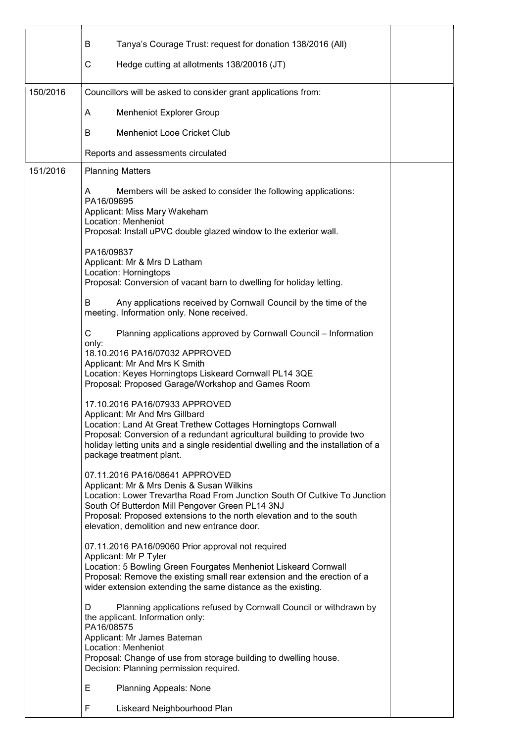|          | Tanya's Courage Trust: request for donation 138/2016 (All)<br>В                                                                                                                                                                                                                                                                      |  |  |  |  |  |  |
|----------|--------------------------------------------------------------------------------------------------------------------------------------------------------------------------------------------------------------------------------------------------------------------------------------------------------------------------------------|--|--|--|--|--|--|
|          | С<br>Hedge cutting at allotments 138/20016 (JT)                                                                                                                                                                                                                                                                                      |  |  |  |  |  |  |
| 150/2016 | Councillors will be asked to consider grant applications from:                                                                                                                                                                                                                                                                       |  |  |  |  |  |  |
|          | <b>Menheniot Explorer Group</b><br>A                                                                                                                                                                                                                                                                                                 |  |  |  |  |  |  |
|          | <b>Menheniot Looe Cricket Club</b><br>В                                                                                                                                                                                                                                                                                              |  |  |  |  |  |  |
|          | Reports and assessments circulated                                                                                                                                                                                                                                                                                                   |  |  |  |  |  |  |
| 151/2016 | <b>Planning Matters</b>                                                                                                                                                                                                                                                                                                              |  |  |  |  |  |  |
|          | Members will be asked to consider the following applications:<br>A<br>PA16/09695<br>Applicant: Miss Mary Wakeham<br>Location: Menheniot<br>Proposal: Install uPVC double glazed window to the exterior wall.                                                                                                                         |  |  |  |  |  |  |
|          | PA16/09837<br>Applicant: Mr & Mrs D Latham<br>Location: Horningtops<br>Proposal: Conversion of vacant barn to dwelling for holiday letting.                                                                                                                                                                                          |  |  |  |  |  |  |
|          | Any applications received by Cornwall Council by the time of the<br>в<br>meeting. Information only. None received.                                                                                                                                                                                                                   |  |  |  |  |  |  |
|          | C<br>Planning applications approved by Cornwall Council - Information<br>only:<br>18.10.2016 PA16/07032 APPROVED<br>Applicant: Mr And Mrs K Smith<br>Location: Keyes Horningtops Liskeard Cornwall PL14 3QE<br>Proposal: Proposed Garage/Workshop and Games Room                                                                     |  |  |  |  |  |  |
|          | 17.10.2016 PA16/07933 APPROVED<br>Applicant: Mr And Mrs Gillbard<br>Location: Land At Great Trethew Cottages Horningtops Cornwall<br>Proposal: Conversion of a redundant agricultural building to provide two<br>holiday letting units and a single residential dwelling and the installation of a<br>package treatment plant.       |  |  |  |  |  |  |
|          | 07.11.2016 PA16/08641 APPROVED<br>Applicant: Mr & Mrs Denis & Susan Wilkins<br>Location: Lower Trevartha Road From Junction South Of Cutkive To Junction<br>South Of Butterdon Mill Pengover Green PL14 3NJ<br>Proposal: Proposed extensions to the north elevation and to the south<br>elevation, demolition and new entrance door. |  |  |  |  |  |  |
|          | 07.11.2016 PA16/09060 Prior approval not required<br>Applicant: Mr P Tyler<br>Location: 5 Bowling Green Fourgates Menheniot Liskeard Cornwall<br>Proposal: Remove the existing small rear extension and the erection of a<br>wider extension extending the same distance as the existing.                                            |  |  |  |  |  |  |
|          | Planning applications refused by Cornwall Council or withdrawn by<br>D<br>the applicant. Information only:<br>PA16/08575<br>Applicant: Mr James Bateman<br>Location: Menheniot                                                                                                                                                       |  |  |  |  |  |  |
|          | Proposal: Change of use from storage building to dwelling house.<br>Decision: Planning permission required.                                                                                                                                                                                                                          |  |  |  |  |  |  |
|          | Е<br><b>Planning Appeals: None</b>                                                                                                                                                                                                                                                                                                   |  |  |  |  |  |  |
|          | F<br>Liskeard Neighbourhood Plan                                                                                                                                                                                                                                                                                                     |  |  |  |  |  |  |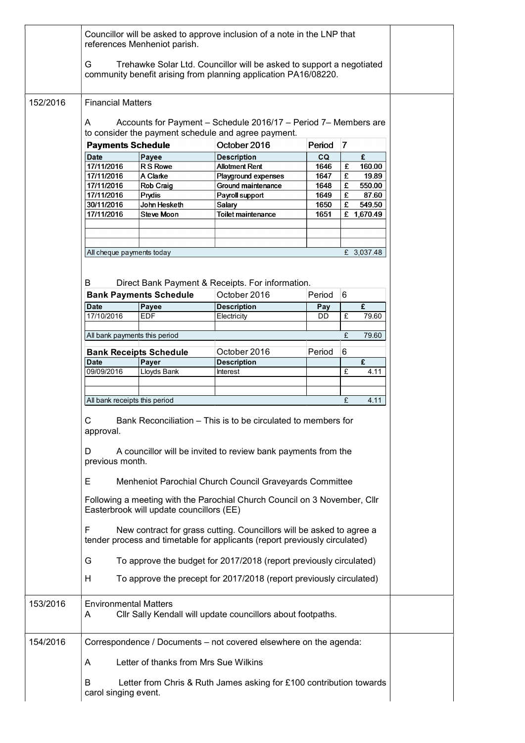|          | Councillor will be asked to approve inclusion of a note in the LNP that<br>references Menheniot parish.                                                 |                               |                                                                                                                                         |                     |              |  |  |  |
|----------|---------------------------------------------------------------------------------------------------------------------------------------------------------|-------------------------------|-----------------------------------------------------------------------------------------------------------------------------------------|---------------------|--------------|--|--|--|
|          | G                                                                                                                                                       |                               | Trehawke Solar Ltd. Councillor will be asked to support a negotiated<br>community benefit arising from planning application PA16/08220. |                     |              |  |  |  |
| 152/2016 | <b>Financial Matters</b>                                                                                                                                |                               |                                                                                                                                         |                     |              |  |  |  |
|          | Accounts for Payment - Schedule 2016/17 - Period 7- Members are<br>A<br>to consider the payment schedule and agree payment.                             |                               |                                                                                                                                         |                     |              |  |  |  |
|          | <b>Payments Schedule</b>                                                                                                                                |                               | October 2016                                                                                                                            | Period <sub>7</sub> |              |  |  |  |
|          | Date                                                                                                                                                    | Payee                         | <b>Description</b>                                                                                                                      | CQ                  | £            |  |  |  |
|          | 17/11/2016                                                                                                                                              | R S Rowe                      | <b>Allotment Rent</b>                                                                                                                   | 1646                | £<br>160.00  |  |  |  |
|          | 17/11/2016                                                                                                                                              | A Clarke                      | Playground expenses                                                                                                                     | 1647                | £<br>19.89   |  |  |  |
|          | 17/11/2016                                                                                                                                              | <b>Rob Craig</b>              | Ground maintenance                                                                                                                      | 1648                | £<br>550.00  |  |  |  |
|          | 17/11/2016                                                                                                                                              | Prydis                        | Payroll support                                                                                                                         | 1649                | £<br>87.60   |  |  |  |
|          |                                                                                                                                                         |                               |                                                                                                                                         |                     |              |  |  |  |
|          | 30/11/2016                                                                                                                                              | John Hesketh                  | Salary                                                                                                                                  | 1650                | £.<br>549.50 |  |  |  |
|          | 17/11/2016                                                                                                                                              | <b>Steve Moon</b>             | Toilet maintenance                                                                                                                      | 1651                | £ 1,670.49   |  |  |  |
|          | All cheque payments today                                                                                                                               |                               |                                                                                                                                         |                     | £ 3,037.48   |  |  |  |
|          | B                                                                                                                                                       |                               | Direct Bank Payment & Receipts. For information.                                                                                        |                     |              |  |  |  |
|          |                                                                                                                                                         | <b>Bank Payments Schedule</b> | October 2016                                                                                                                            | Period 6            |              |  |  |  |
|          |                                                                                                                                                         |                               |                                                                                                                                         |                     |              |  |  |  |
|          | <b>Date</b>                                                                                                                                             | Payee                         | <b>Description</b>                                                                                                                      | Pay                 | £            |  |  |  |
|          | 17/10/2016                                                                                                                                              | <b>EDF</b>                    | Electricity                                                                                                                             | <b>DD</b>           | £<br>79.60   |  |  |  |
|          | All bank payments this period                                                                                                                           |                               |                                                                                                                                         |                     | 79.60<br>£   |  |  |  |
|          |                                                                                                                                                         |                               | October 2016                                                                                                                            | Period              | 6            |  |  |  |
|          |                                                                                                                                                         | <b>Bank Receipts Schedule</b> |                                                                                                                                         |                     |              |  |  |  |
|          | <b>Date</b>                                                                                                                                             | Payer                         | <b>Description</b>                                                                                                                      |                     | £            |  |  |  |
|          | 09/09/2016                                                                                                                                              | Lloyds Bank                   | Interest                                                                                                                                |                     | £<br>4.11    |  |  |  |
|          |                                                                                                                                                         |                               |                                                                                                                                         |                     |              |  |  |  |
|          |                                                                                                                                                         |                               |                                                                                                                                         |                     |              |  |  |  |
|          | All bank receipts this period                                                                                                                           |                               |                                                                                                                                         |                     | £<br>4.11    |  |  |  |
|          | С<br>Bank Reconciliation - This is to be circulated to members for<br>approval.                                                                         |                               |                                                                                                                                         |                     |              |  |  |  |
|          | A councillor will be invited to review bank payments from the<br>D<br>previous month.                                                                   |                               |                                                                                                                                         |                     |              |  |  |  |
|          | Е                                                                                                                                                       |                               | Menheniot Parochial Church Council Graveyards Committee                                                                                 |                     |              |  |  |  |
|          | Following a meeting with the Parochial Church Council on 3 November, Cllr<br>Easterbrook will update councillors (EE)                                   |                               |                                                                                                                                         |                     |              |  |  |  |
|          | New contract for grass cutting. Councillors will be asked to agree a<br>F<br>tender process and timetable for applicants (report previously circulated) |                               |                                                                                                                                         |                     |              |  |  |  |
|          | To approve the budget for 2017/2018 (report previously circulated)<br>G                                                                                 |                               |                                                                                                                                         |                     |              |  |  |  |
|          | To approve the precept for 2017/2018 (report previously circulated)<br>H                                                                                |                               |                                                                                                                                         |                     |              |  |  |  |
| 153/2016 | <b>Environmental Matters</b><br>A                                                                                                                       |                               | Cllr Sally Kendall will update councillors about footpaths.                                                                             |                     |              |  |  |  |
| 154/2016 | Correspondence / Documents - not covered elsewhere on the agenda:                                                                                       |                               |                                                                                                                                         |                     |              |  |  |  |
|          | Letter of thanks from Mrs Sue Wilkins<br>A                                                                                                              |                               |                                                                                                                                         |                     |              |  |  |  |
|          | B                                                                                                                                                       |                               | Letter from Chris & Ruth James asking for £100 contribution towards                                                                     |                     |              |  |  |  |
|          | carol singing event.                                                                                                                                    |                               |                                                                                                                                         |                     |              |  |  |  |